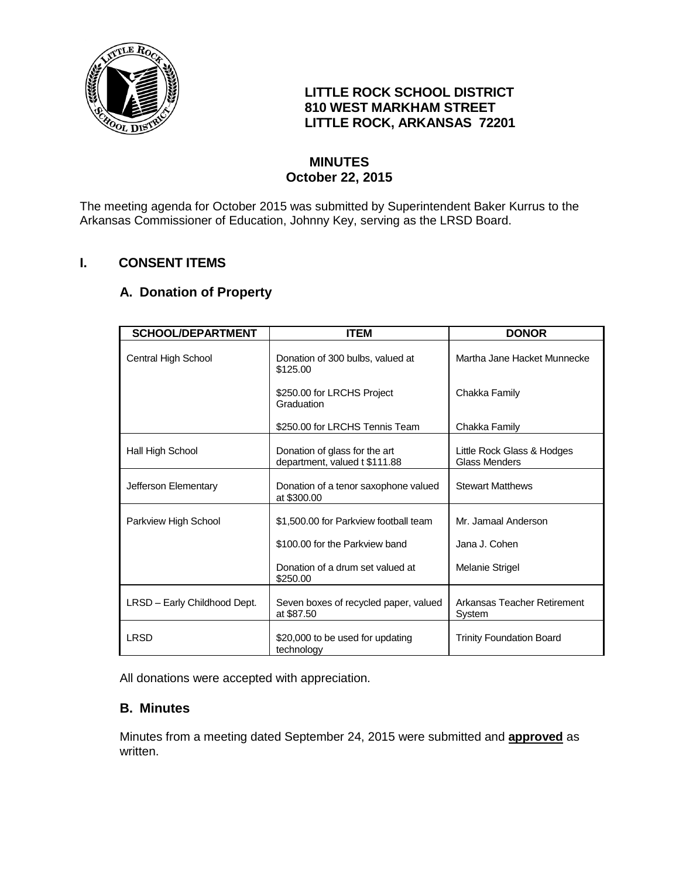

## **LITTLE ROCK SCHOOL DISTRICT 810 WEST MARKHAM STREET LITTLE ROCK, ARKANSAS 72201**

## **MINUTES October 22, 2015**

The meeting agenda for October 2015 was submitted by Superintendent Baker Kurrus to the Arkansas Commissioner of Education, Johnny Key, serving as the LRSD Board.

# **I. CONSENT ITEMS**

### **A. Donation of Property**

| <b>SCHOOL/DEPARTMENT</b>     | <b>ITEM</b>                                                    | <b>DONOR</b>                                       |
|------------------------------|----------------------------------------------------------------|----------------------------------------------------|
| Central High School          | Donation of 300 bulbs, valued at<br>\$125.00                   | Martha Jane Hacket Munnecke                        |
|                              | \$250.00 for LRCHS Project<br>Graduation                       | Chakka Family                                      |
|                              | \$250.00 for LRCHS Tennis Team                                 | Chakka Family                                      |
| Hall High School             | Donation of glass for the art<br>department, valued t \$111.88 | Little Rock Glass & Hodges<br><b>Glass Menders</b> |
| Jefferson Elementary         | Donation of a tenor saxophone valued<br>at \$300.00            | <b>Stewart Matthews</b>                            |
| Parkview High School         | \$1,500.00 for Parkview football team                          | Mr. Jamaal Anderson                                |
|                              | \$100.00 for the Parkview band                                 | Jana J. Cohen                                      |
|                              | Donation of a drum set valued at<br>\$250.00                   | Melanie Strigel                                    |
| LRSD - Early Childhood Dept. | Seven boxes of recycled paper, valued<br>at \$87.50            | Arkansas Teacher Retirement<br>System              |
| LRSD                         | \$20,000 to be used for updating<br>technology                 | <b>Trinity Foundation Board</b>                    |

All donations were accepted with appreciation.

### **B. Minutes**

Minutes from a meeting dated September 24, 2015 were submitted and **approved** as written.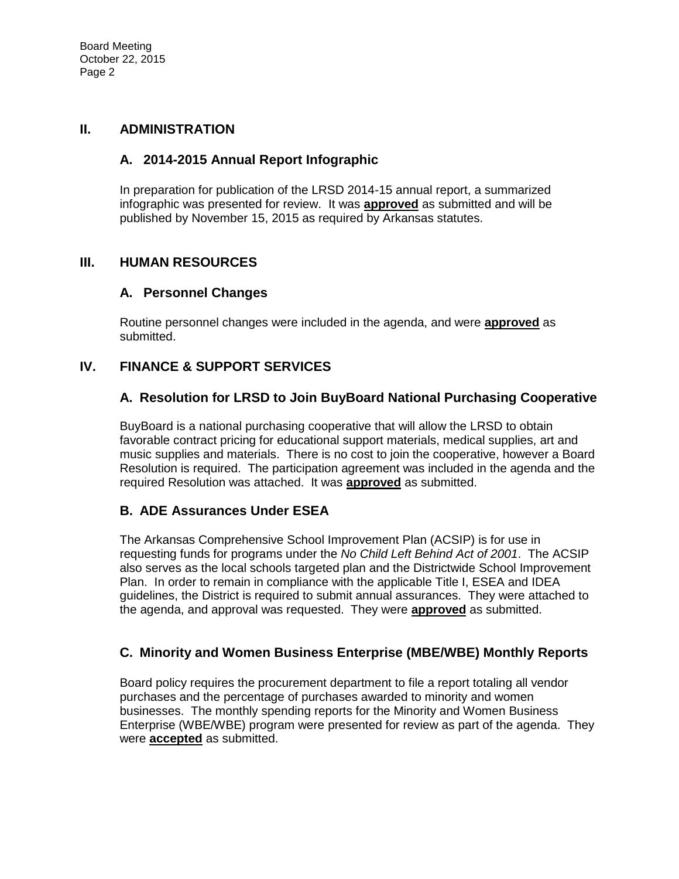#### **II. ADMINISTRATION**

### **A. 2014-2015 Annual Report Infographic**

In preparation for publication of the LRSD 2014-15 annual report, a summarized infographic was presented for review. It was **approved** as submitted and will be published by November 15, 2015 as required by Arkansas statutes.

### **III. HUMAN RESOURCES**

### **A. Personnel Changes**

Routine personnel changes were included in the agenda, and were **approved** as submitted.

### **IV. FINANCE & SUPPORT SERVICES**

## **A. Resolution for LRSD to Join BuyBoard National Purchasing Cooperative**

BuyBoard is a national purchasing cooperative that will allow the LRSD to obtain favorable contract pricing for educational support materials, medical supplies, art and music supplies and materials. There is no cost to join the cooperative, however a Board Resolution is required. The participation agreement was included in the agenda and the required Resolution was attached. It was **approved** as submitted.

### **B. ADE Assurances Under ESEA**

The Arkansas Comprehensive School Improvement Plan (ACSIP) is for use in requesting funds for programs under the *No Child Left Behind Act of 2001*. The ACSIP also serves as the local schools targeted plan and the Districtwide School Improvement Plan. In order to remain in compliance with the applicable Title I, ESEA and IDEA guidelines, the District is required to submit annual assurances. They were attached to the agenda, and approval was requested. They were **approved** as submitted.

### **C. Minority and Women Business Enterprise (MBE/WBE) Monthly Reports**

Board policy requires the procurement department to file a report totaling all vendor purchases and the percentage of purchases awarded to minority and women businesses. The monthly spending reports for the Minority and Women Business Enterprise (WBE/WBE) program were presented for review as part of the agenda. They were **accepted** as submitted.